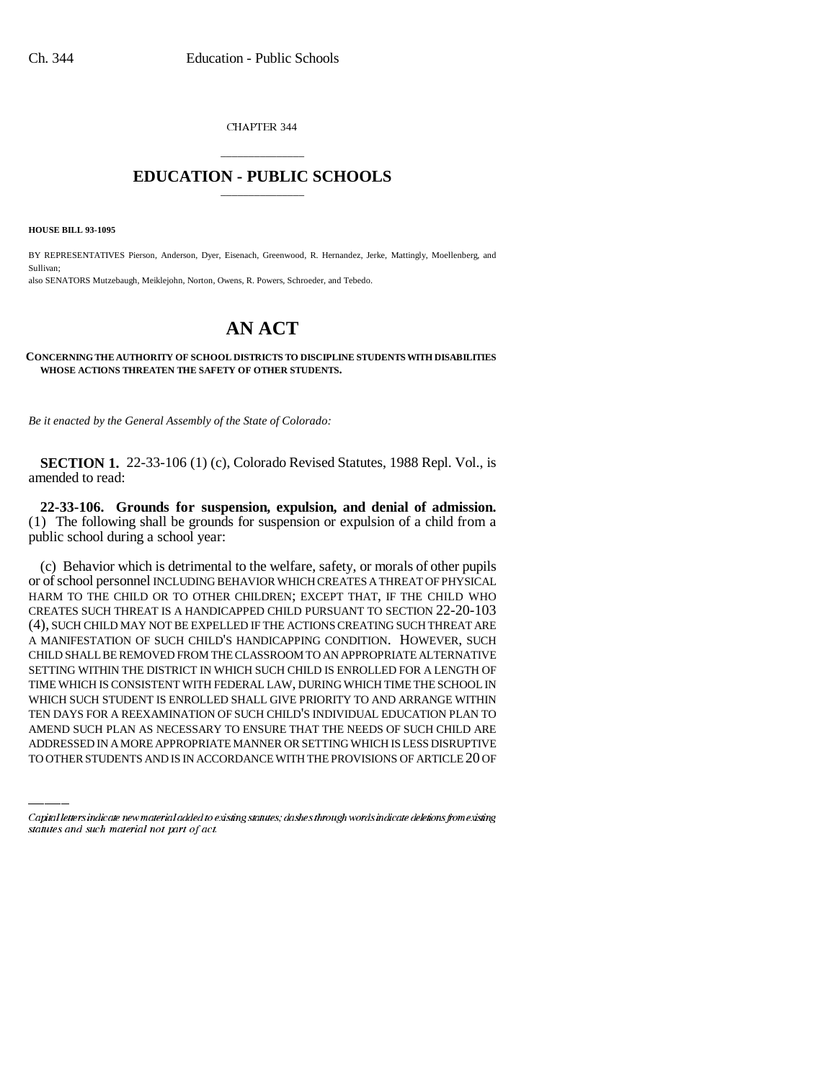CHAPTER 344

## \_\_\_\_\_\_\_\_\_\_\_\_\_\_\_ **EDUCATION - PUBLIC SCHOOLS** \_\_\_\_\_\_\_\_\_\_\_\_\_\_\_

**HOUSE BILL 93-1095**

BY REPRESENTATIVES Pierson, Anderson, Dyer, Eisenach, Greenwood, R. Hernandez, Jerke, Mattingly, Moellenberg, and Sullivan; also SENATORS Mutzebaugh, Meiklejohn, Norton, Owens, R. Powers, Schroeder, and Tebedo.

## **AN ACT**

## **CONCERNING THE AUTHORITY OF SCHOOL DISTRICTS TO DISCIPLINE STUDENTS WITH DISABILITIES WHOSE ACTIONS THREATEN THE SAFETY OF OTHER STUDENTS.**

*Be it enacted by the General Assembly of the State of Colorado:*

**SECTION 1.** 22-33-106 (1) (c), Colorado Revised Statutes, 1988 Repl. Vol., is amended to read:

**22-33-106. Grounds for suspension, expulsion, and denial of admission.** (1) The following shall be grounds for suspension or expulsion of a child from a public school during a school year:

WHICH SUCH STUDENT IS ENROLLED SHALL GIVE PRIORITY TO AND ARRANGE WITHIN (c) Behavior which is detrimental to the welfare, safety, or morals of other pupils or of school personnel INCLUDING BEHAVIOR WHICH CREATES A THREAT OF PHYSICAL HARM TO THE CHILD OR TO OTHER CHILDREN; EXCEPT THAT, IF THE CHILD WHO CREATES SUCH THREAT IS A HANDICAPPED CHILD PURSUANT TO SECTION 22-20-103 (4), SUCH CHILD MAY NOT BE EXPELLED IF THE ACTIONS CREATING SUCH THREAT ARE A MANIFESTATION OF SUCH CHILD'S HANDICAPPING CONDITION. HOWEVER, SUCH CHILD SHALL BE REMOVED FROM THE CLASSROOM TO AN APPROPRIATE ALTERNATIVE SETTING WITHIN THE DISTRICT IN WHICH SUCH CHILD IS ENROLLED FOR A LENGTH OF TIME WHICH IS CONSISTENT WITH FEDERAL LAW, DURING WHICH TIME THE SCHOOL IN TEN DAYS FOR A REEXAMINATION OF SUCH CHILD'S INDIVIDUAL EDUCATION PLAN TO AMEND SUCH PLAN AS NECESSARY TO ENSURE THAT THE NEEDS OF SUCH CHILD ARE ADDRESSED IN A MORE APPROPRIATE MANNER OR SETTING WHICH IS LESS DISRUPTIVE TO OTHER STUDENTS AND IS IN ACCORDANCE WITH THE PROVISIONS OF ARTICLE 20 OF

Capital letters indicate new material added to existing statutes; dashes through words indicate deletions from existing statutes and such material not part of act.